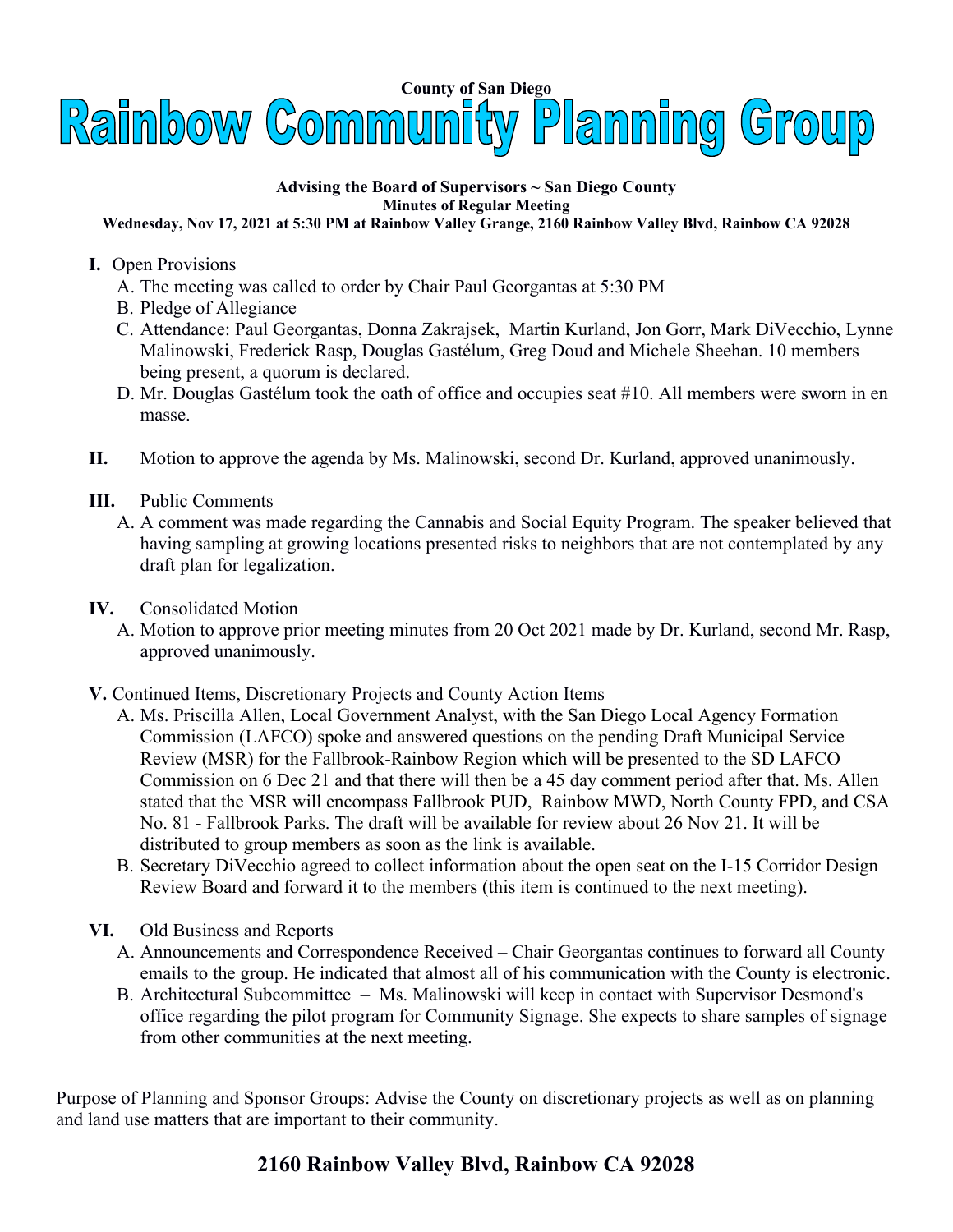

## **Advising the Board of Supervisors ~ San Diego County Minutes of Regular Meeting**

## **Wednesday, Nov 17, 2021 at 5:30 PM at Rainbow Valley Grange, 2160 Rainbow Valley Blvd, Rainbow CA 92028**

- **I.** Open Provisions
	- A. The meeting was called to order by Chair Paul Georgantas at 5:30 PM
	- B. Pledge of Allegiance
	- C. Attendance: Paul Georgantas, Donna Zakrajsek, Martin Kurland, Jon Gorr, Mark DiVecchio, Lynne Malinowski, Frederick Rasp, Douglas Gastélum, Greg Doud and Michele Sheehan. 10 members being present, a quorum is declared.
	- D. Mr. Douglas Gastélum took the oath of office and occupies seat #10. All members were sworn in en masse.
- **II.** Motion to approve the agenda by Ms. Malinowski, second Dr. Kurland, approved unanimously.
- **III.** Public Comments
	- A. A comment was made regarding the Cannabis and Social Equity Program. The speaker believed that having sampling at growing locations presented risks to neighbors that are not contemplated by any draft plan for legalization.
- **IV.** Consolidated Motion
	- A. Motion to approve prior meeting minutes from 20 Oct 2021 made by Dr. Kurland, second Mr. Rasp, approved unanimously.
- **V.** Continued Items, Discretionary Projects and County Action Items
	- A. Ms. Priscilla Allen, Local Government Analyst, with the San Diego Local Agency Formation Commission (LAFCO) spoke and answered questions on the pending Draft Municipal Service Review (MSR) for the Fallbrook-Rainbow Region which will be presented to the SD LAFCO Commission on 6 Dec 21 and that there will then be a 45 day comment period after that. Ms. Allen stated that the MSR will encompass Fallbrook PUD, Rainbow MWD, North County FPD, and CSA No. 81 - Fallbrook Parks. The draft will be available for review about 26 Nov 21. It will be distributed to group members as soon as the link is available.
	- B. Secretary DiVecchio agreed to collect information about the open seat on the I-15 Corridor Design Review Board and forward it to the members (this item is continued to the next meeting).
- **VI.** Old Business and Reports
	- A. Announcements and Correspondence Received Chair Georgantas continues to forward all County emails to the group. He indicated that almost all of his communication with the County is electronic.
	- B. Architectural Subcommittee Ms. Malinowski will keep in contact with Supervisor Desmond's office regarding the pilot program for Community Signage. She expects to share samples of signage from other communities at the next meeting.

Purpose of Planning and Sponsor Groups: Advise the County on discretionary projects as well as on planning and land use matters that are important to their community.

## **2160 Rainbow Valley Blvd, Rainbow CA 92028**